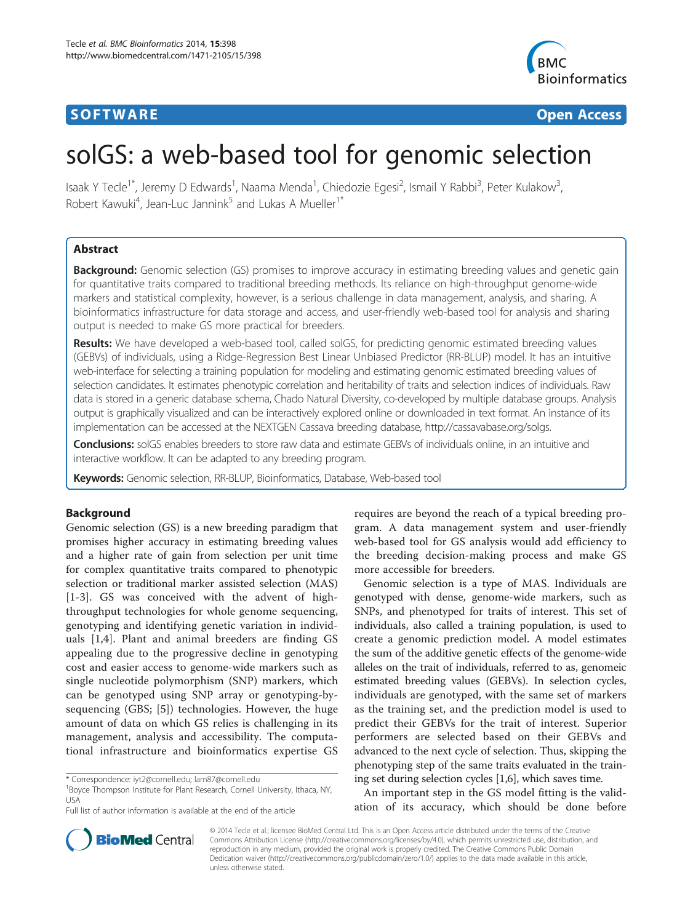# **SOFTWARE SOFTWARE** *CONSERVERSE EXECUTIVE EXECUTIVE EXECUTIVE EXECUTIVE EXECUTIVE EXECUTIVE EXECUTIVE EXECUTIVE EXECUTIVE EXECUTIVE EXECUTIVE EXECUTIVE EXECUTIVE EXECUTIVE EXECUTIVE EXECUTIVE EXECUTIVE EXECUTIVE EXECUT*



# solGS: a web-based tool for genomic selection

Isaak Y Tecle<sup>1\*</sup>, Jeremy D Edwards<sup>1</sup>, Naama Menda<sup>1</sup>, Chiedozie Egesi<sup>2</sup>, Ismail Y Rabbi<sup>3</sup>, Peter Kulakow<sup>3</sup> , Robert Kawuki<sup>4</sup>, Jean-Luc Jannink<sup>5</sup> and Lukas A Mueller<sup>1\*</sup>

# Abstract

Background: Genomic selection (GS) promises to improve accuracy in estimating breeding values and genetic gain for quantitative traits compared to traditional breeding methods. Its reliance on high-throughput genome-wide markers and statistical complexity, however, is a serious challenge in data management, analysis, and sharing. A bioinformatics infrastructure for data storage and access, and user-friendly web-based tool for analysis and sharing output is needed to make GS more practical for breeders.

Results: We have developed a web-based tool, called solGS, for predicting genomic estimated breeding values (GEBVs) of individuals, using a Ridge-Regression Best Linear Unbiased Predictor (RR-BLUP) model. It has an intuitive web-interface for selecting a training population for modeling and estimating genomic estimated breeding values of selection candidates. It estimates phenotypic correlation and heritability of traits and selection indices of individuals. Raw data is stored in a generic database schema, Chado Natural Diversity, co-developed by multiple database groups. Analysis output is graphically visualized and can be interactively explored online or downloaded in text format. An instance of its implementation can be accessed at the NEXTGEN Cassava breeding database,<http://cassavabase.org/solgs>.

Conclusions: solGS enables breeders to store raw data and estimate GEBVs of individuals online, in an intuitive and interactive workflow. It can be adapted to any breeding program.

Keywords: Genomic selection, RR-BLUP, Bioinformatics, Database, Web-based tool

#### Background

Genomic selection (GS) is a new breeding paradigm that promises higher accuracy in estimating breeding values and a higher rate of gain from selection per unit time for complex quantitative traits compared to phenotypic selection or traditional marker assisted selection (MAS) [[1-3\]](#page-7-0). GS was conceived with the advent of highthroughput technologies for whole genome sequencing, genotyping and identifying genetic variation in individuals [[1,4\]](#page-7-0). Plant and animal breeders are finding GS appealing due to the progressive decline in genotyping cost and easier access to genome-wide markers such as single nucleotide polymorphism (SNP) markers, which can be genotyped using SNP array or genotyping-bysequencing (GBS; [[5\]](#page-7-0)) technologies. However, the huge amount of data on which GS relies is challenging in its management, analysis and accessibility. The computational infrastructure and bioinformatics expertise GS

requires are beyond the reach of a typical breeding program. A data management system and user-friendly web-based tool for GS analysis would add efficiency to the breeding decision-making process and make GS more accessible for breeders.

Genomic selection is a type of MAS. Individuals are genotyped with dense, genome-wide markers, such as SNPs, and phenotyped for traits of interest. This set of individuals, also called a training population, is used to create a genomic prediction model. A model estimates the sum of the additive genetic effects of the genome-wide alleles on the trait of individuals, referred to as, genomeic estimated breeding values (GEBVs). In selection cycles, individuals are genotyped, with the same set of markers as the training set, and the prediction model is used to predict their GEBVs for the trait of interest. Superior performers are selected based on their GEBVs and advanced to the next cycle of selection. Thus, skipping the phenotyping step of the same traits evaluated in the training set during selection cycles [\[1,6](#page-7-0)], which saves time.

An important step in the GS model fitting is the validation of its accuracy, which should be done before



© 2014 Tecle et al.; licensee BioMed Central Ltd. This is an Open Access article distributed under the terms of the Creative Commons Attribution License [\(http://creativecommons.org/licenses/by/4.0\)](http://creativecommons.org/licenses/by/4.0), which permits unrestricted use, distribution, and reproduction in any medium, provided the original work is properly credited. The Creative Commons Public Domain Dedication waiver [\(http://creativecommons.org/publicdomain/zero/1.0/](http://creativecommons.org/publicdomain/zero/1.0/)) applies to the data made available in this article, unless otherwise stated.

<sup>\*</sup> Correspondence: [iyt2@cornell.edu;](mailto:iyt2@cornell.edu) [lam87@cornell.edu](mailto:lam87@cornell.edu) <sup>1</sup>

<sup>&</sup>lt;sup>1</sup>Boyce Thompson Institute for Plant Research, Cornell University, Ithaca, NY, USA

Full list of author information is available at the end of the article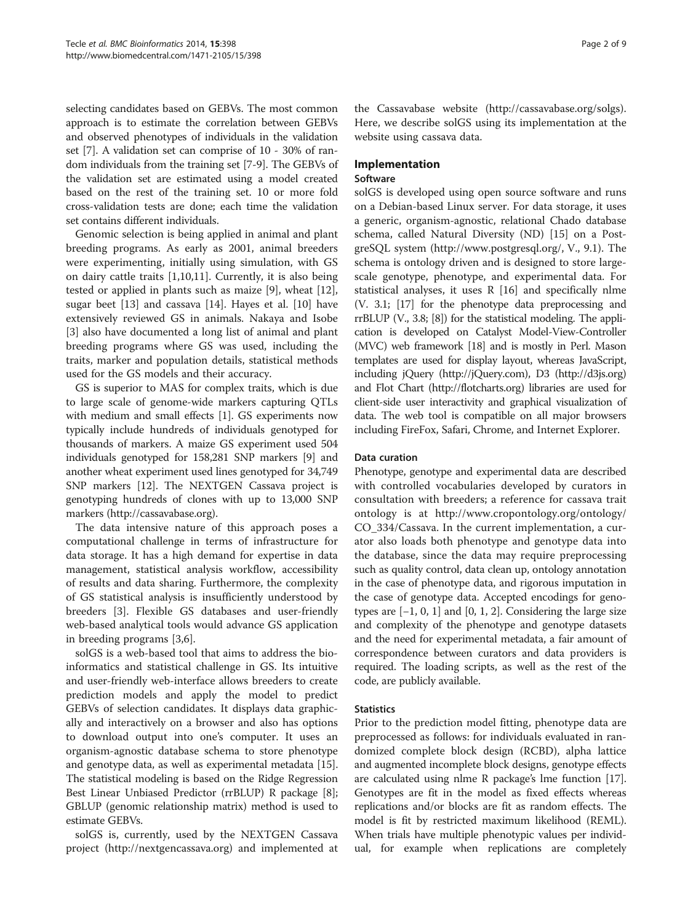selecting candidates based on GEBVs. The most common approach is to estimate the correlation between GEBVs and observed phenotypes of individuals in the validation set [\[7](#page-7-0)]. A validation set can comprise of 10 - 30% of random individuals from the training set [\[7-9](#page-7-0)]. The GEBVs of the validation set are estimated using a model created based on the rest of the training set. 10 or more fold cross-validation tests are done; each time the validation set contains different individuals.

Genomic selection is being applied in animal and plant breeding programs. As early as 2001, animal breeders were experimenting, initially using simulation, with GS on dairy cattle traits [[1](#page-7-0),[10](#page-7-0),[11](#page-7-0)]. Currently, it is also being tested or applied in plants such as maize [\[9](#page-7-0)], wheat [\[12](#page-7-0)], sugar beet [[13\]](#page-8-0) and cassava [[14](#page-8-0)]. Hayes et al. [\[10\]](#page-7-0) have extensively reviewed GS in animals. Nakaya and Isobe [[3\]](#page-7-0) also have documented a long list of animal and plant breeding programs where GS was used, including the traits, marker and population details, statistical methods used for the GS models and their accuracy.

GS is superior to MAS for complex traits, which is due to large scale of genome-wide markers capturing QTLs with medium and small effects [[1\]](#page-7-0). GS experiments now typically include hundreds of individuals genotyped for thousands of markers. A maize GS experiment used 504 individuals genotyped for 158,281 SNP markers [\[9](#page-7-0)] and another wheat experiment used lines genotyped for 34,749 SNP markers [[12\]](#page-7-0). The NEXTGEN Cassava project is genotyping hundreds of clones with up to 13,000 SNP markers (<http://cassavabase.org>).

The data intensive nature of this approach poses a computational challenge in terms of infrastructure for data storage. It has a high demand for expertise in data management, statistical analysis workflow, accessibility of results and data sharing. Furthermore, the complexity of GS statistical analysis is insufficiently understood by breeders [[3\]](#page-7-0). Flexible GS databases and user-friendly web-based analytical tools would advance GS application in breeding programs [[3,6\]](#page-7-0).

solGS is a web-based tool that aims to address the bioinformatics and statistical challenge in GS. Its intuitive and user-friendly web-interface allows breeders to create prediction models and apply the model to predict GEBVs of selection candidates. It displays data graphically and interactively on a browser and also has options to download output into one's computer. It uses an organism-agnostic database schema to store phenotype and genotype data, as well as experimental metadata [[15](#page-8-0)]. The statistical modeling is based on the Ridge Regression Best Linear Unbiased Predictor (rrBLUP) R package [[8](#page-7-0)]; GBLUP (genomic relationship matrix) method is used to estimate GEBVs.

solGS is, currently, used by the NEXTGEN Cassava project [\(http://nextgencassava.org\)](http://nextgencassava.org) and implemented at

the Cassavabase website [\(http://cassavabase.org/solgs](http://cassavabase.org/solgs)). Here, we describe solGS using its implementation at the website using cassava data.

# Implementation

## **Software**

solGS is developed using open source software and runs on a Debian-based Linux server. For data storage, it uses a generic, organism-agnostic, relational Chado database schema, called Natural Diversity (ND) [[15\]](#page-8-0) on a PostgreSQL system [\(http://www.postgresql.org/,](http://www.postgresql.org/) V., 9.1). The schema is ontology driven and is designed to store largescale genotype, phenotype, and experimental data. For statistical analyses, it uses R [[16](#page-8-0)] and specifically nlme (V. 3.1; [[17](#page-8-0)] for the phenotype data preprocessing and rrBLUP (V., 3.8; [\[8\]](#page-7-0)) for the statistical modeling. The application is developed on Catalyst Model-View-Controller (MVC) web framework [\[18\]](#page-8-0) and is mostly in Perl. Mason templates are used for display layout, whereas JavaScript, including jQuery [\(http://jQuery.com](http://jquery.com)), D3 [\(http://d3js.org](http://d3js.org)) and Flot Chart [\(http://flotcharts.org\)](http://flotcharts.org) libraries are used for client-side user interactivity and graphical visualization of data. The web tool is compatible on all major browsers including FireFox, Safari, Chrome, and Internet Explorer.

## Data curation

Phenotype, genotype and experimental data are described with controlled vocabularies developed by curators in consultation with breeders; a reference for cassava trait ontology is at [http://www.cropontology.org/ontology/](http://www.cropontology.org/ontology/CO_334/Cassava) [CO\\_334/Cassava](http://www.cropontology.org/ontology/CO_334/Cassava). In the current implementation, a curator also loads both phenotype and genotype data into the database, since the data may require preprocessing such as quality control, data clean up, ontology annotation in the case of phenotype data, and rigorous imputation in the case of genotype data. Accepted encodings for genotypes are  $[-1, 0, 1]$  and  $[0, 1, 2]$ . Considering the large size and complexity of the phenotype and genotype datasets and the need for experimental metadata, a fair amount of correspondence between curators and data providers is required. The loading scripts, as well as the rest of the code, are publicly available.

#### Statistics

Prior to the prediction model fitting, phenotype data are preprocessed as follows: for individuals evaluated in randomized complete block design (RCBD), alpha lattice and augmented incomplete block designs, genotype effects are calculated using nlme R package's lme function [[17](#page-8-0)]. Genotypes are fit in the model as fixed effects whereas replications and/or blocks are fit as random effects. The model is fit by restricted maximum likelihood (REML). When trials have multiple phenotypic values per individual, for example when replications are completely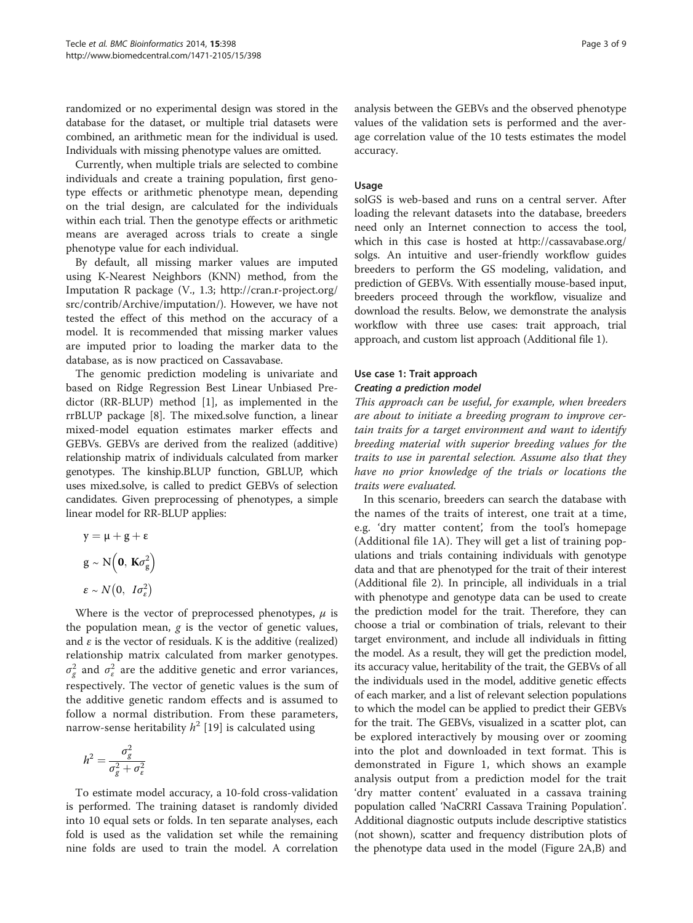randomized or no experimental design was stored in the database for the dataset, or multiple trial datasets were combined, an arithmetic mean for the individual is used. Individuals with missing phenotype values are omitted.

Currently, when multiple trials are selected to combine individuals and create a training population, first genotype effects or arithmetic phenotype mean, depending on the trial design, are calculated for the individuals within each trial. Then the genotype effects or arithmetic means are averaged across trials to create a single phenotype value for each individual.

By default, all missing marker values are imputed using K-Nearest Neighbors (KNN) method, from the Imputation R package (V., 1.3; [http://cran.r-project.org/](http://cran.r-project.org/src/contrib/Archive/imputation/) [src/contrib/Archive/imputation/](http://cran.r-project.org/src/contrib/Archive/imputation/)). However, we have not tested the effect of this method on the accuracy of a model. It is recommended that missing marker values are imputed prior to loading the marker data to the database, as is now practiced on Cassavabase.

The genomic prediction modeling is univariate and based on Ridge Regression Best Linear Unbiased Predictor (RR-BLUP) method [[1\]](#page-7-0), as implemented in the rrBLUP package [[8\]](#page-7-0). The mixed.solve function, a linear mixed-model equation estimates marker effects and GEBVs. GEBVs are derived from the realized (additive) relationship matrix of individuals calculated from marker genotypes. The kinship.BLUP function, GBLUP, which uses mixed.solve, is called to predict GEBVs of selection candidates. Given preprocessing of phenotypes, a simple linear model for RR-BLUP applies:

$$
y = \mu + g + \varepsilon
$$

$$
g \sim N\left(\mathbf{0}, K\sigma_g^2\right)
$$

$$
\varepsilon \sim N\left(0, I\sigma_e^2\right)
$$

Where is the vector of preprocessed phenotypes,  $\mu$  is the population mean,  $g$  is the vector of genetic values, and  $\varepsilon$  is the vector of residuals. K is the additive (realized) relationship matrix calculated from marker genotypes.  $\sigma_{g}^{2}$  and  $\sigma_{e}^{2}$  are the additive genetic and error variances, respectively. The vector of genetic values is the sum of the additive genetic random effects and is assumed to follow a normal distribution. From these parameters, narrow-sense heritability  $h^2$  [\[19](#page-8-0)] is calculated using

$$
h^2 = \frac{\sigma_g^2}{\sigma_g^2 + \sigma_\varepsilon^2}
$$

To estimate model accuracy, a 10-fold cross-validation is performed. The training dataset is randomly divided into 10 equal sets or folds. In ten separate analyses, each fold is used as the validation set while the remaining nine folds are used to train the model. A correlation

analysis between the GEBVs and the observed phenotype values of the validation sets is performed and the average correlation value of the 10 tests estimates the model accuracy.

## **Usage**

solGS is web-based and runs on a central server. After loading the relevant datasets into the database, breeders need only an Internet connection to access the tool, which in this case is hosted at [http://cassavabase.org/](http://cassavabase.org/solgs) [solgs.](http://cassavabase.org/solgs) An intuitive and user-friendly workflow guides breeders to perform the GS modeling, validation, and prediction of GEBVs. With essentially mouse-based input, breeders proceed through the workflow, visualize and download the results. Below, we demonstrate the analysis workflow with three use cases: trait approach, trial approach, and custom list approach (Additional file [1](#page-7-0)).

# Use case 1: Trait approach

#### Creating a prediction model

This approach can be useful, for example, when breeders are about to initiate a breeding program to improve certain traits for a target environment and want to identify breeding material with superior breeding values for the traits to use in parental selection. Assume also that they have no prior knowledge of the trials or locations the traits were evaluated.

In this scenario, breeders can search the database with the names of the traits of interest, one trait at a time, e.g. 'dry matter content', from the tool's homepage (Additional file [1](#page-7-0)A). They will get a list of training populations and trials containing individuals with genotype data and that are phenotyped for the trait of their interest (Additional file [2\)](#page-7-0). In principle, all individuals in a trial with phenotype and genotype data can be used to create the prediction model for the trait. Therefore, they can choose a trial or combination of trials, relevant to their target environment, and include all individuals in fitting the model. As a result, they will get the prediction model, its accuracy value, heritability of the trait, the GEBVs of all the individuals used in the model, additive genetic effects of each marker, and a list of relevant selection populations to which the model can be applied to predict their GEBVs for the trait. The GEBVs, visualized in a scatter plot, can be explored interactively by mousing over or zooming into the plot and downloaded in text format. This is demonstrated in Figure [1,](#page-3-0) which shows an example analysis output from a prediction model for the trait 'dry matter content' evaluated in a cassava training population called 'NaCRRI Cassava Training Population'. Additional diagnostic outputs include descriptive statistics (not shown), scatter and frequency distribution plots of the phenotype data used in the model (Figure [2](#page-4-0)A,B) and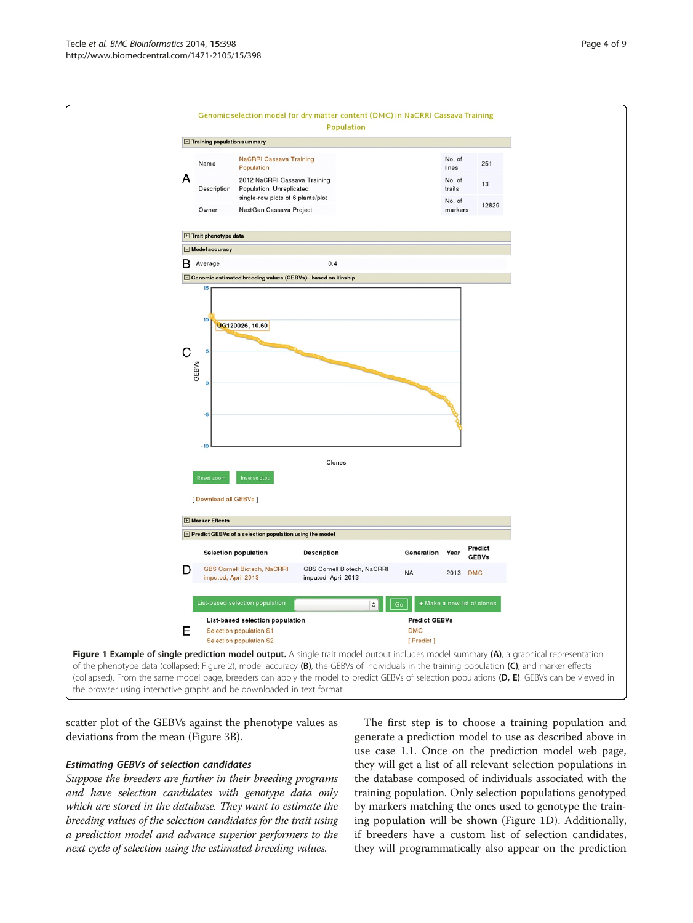

<span id="page-3-0"></span>

scatter plot of the GEBVs against the phenotype values as deviations from the mean (Figure [3](#page-4-0)B).

#### Estimating GEBVs of selection candidates

Suppose the breeders are further in their breeding programs and have selection candidates with genotype data only which are stored in the database. They want to estimate the breeding values of the selection candidates for the trait using a prediction model and advance superior performers to the next cycle of selection using the estimated breeding values.

The first step is to choose a training population and generate a prediction model to use as described above in use case 1.1. Once on the prediction model web page, they will get a list of all relevant selection populations in the database composed of individuals associated with the training population. Only selection populations genotyped by markers matching the ones used to genotype the training population will be shown (Figure 1D). Additionally, if breeders have a custom list of selection candidates, they will programmatically also appear on the prediction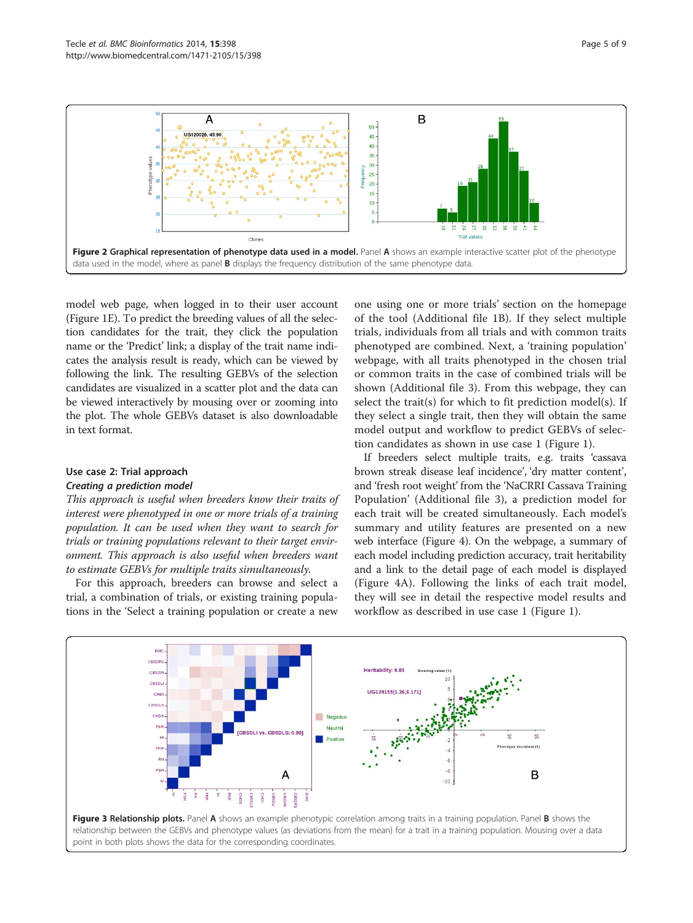<span id="page-4-0"></span>

model web page, when logged in to their user account (Figure [1](#page-3-0)E). To predict the breeding values of all the selection candidates for the trait, they click the population name or the 'Predict' link; a display of the trait name indicates the analysis result is ready, which can be viewed by following the link. The resulting GEBVs of the selection candidates are visualized in a scatter plot and the data can be viewed interactively by mousing over or zooming into the plot. The whole GEBVs dataset is also downloadable in text format.

#### Use case 2: Trial approach Creating a prediction model

This approach is useful when breeders know their traits of interest were phenotyped in one or more trials of a training population. It can be used when they want to search for trials or training populations relevant to their target environment. This approach is also useful when breeders want to estimate GEBVs for multiple traits simultaneously.

For this approach, breeders can browse and select a trial, a combination of trials, or existing training populations in the 'Select a training population or create a new one using one or more trials' section on the homepage of the tool (Additional file [1](#page-7-0)B). If they select multiple trials, individuals from all trials and with common traits phenotyped are combined. Next, a 'training population' webpage, with all traits phenotyped in the chosen trial or common traits in the case of combined trials will be shown (Additional file [3\)](#page-7-0). From this webpage, they can select the trait(s) for which to fit prediction model(s). If they select a single trait, then they will obtain the same model output and workflow to predict GEBVs of selection candidates as shown in use case 1 (Figure [1](#page-3-0)).

If breeders select multiple traits, e.g. traits 'cassava brown streak disease leaf incidence', 'dry matter content', and 'fresh root weight' from the 'NaCRRI Cassava Training Population' (Additional file [3](#page-7-0)), a prediction model for each trait will be created simultaneously. Each model's summary and utility features are presented on a new web interface (Figure [4\)](#page-5-0). On the webpage, a summary of each model including prediction accuracy, trait heritability and a link to the detail page of each model is displayed (Figure [4](#page-5-0)A). Following the links of each trait model, they will see in detail the respective model results and workflow as described in use case 1 (Figure [1\)](#page-3-0).

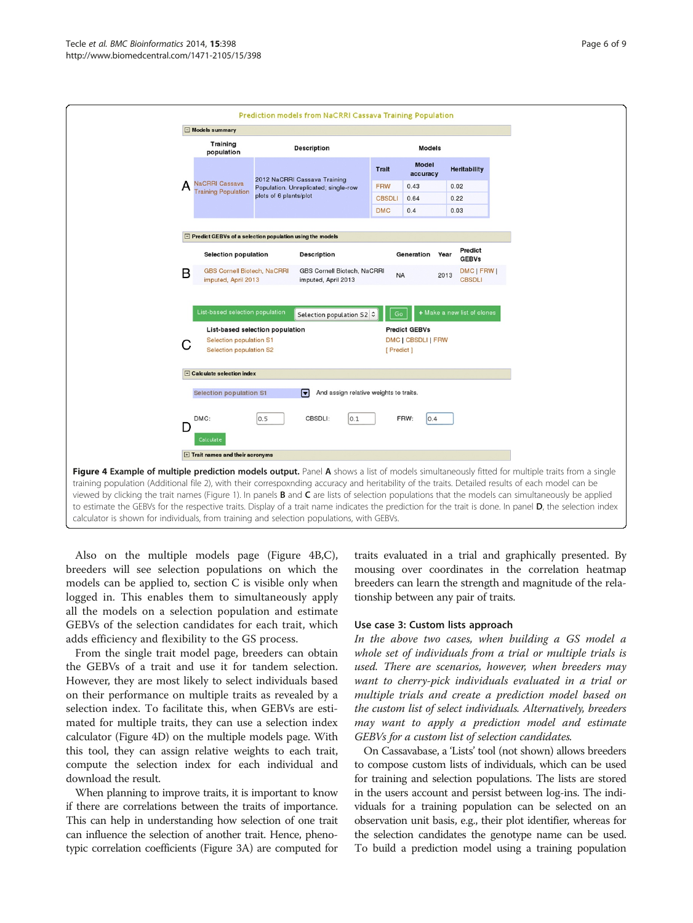<span id="page-5-0"></span>

Also on the multiple models page (Figure 4B,C), breeders will see selection populations on which the models can be applied to, section C is visible only when logged in. This enables them to simultaneously apply all the models on a selection population and estimate GEBVs of the selection candidates for each trait, which adds efficiency and flexibility to the GS process.

From the single trait model page, breeders can obtain the GEBVs of a trait and use it for tandem selection. However, they are most likely to select individuals based on their performance on multiple traits as revealed by a selection index. To facilitate this, when GEBVs are estimated for multiple traits, they can use a selection index calculator (Figure 4D) on the multiple models page. With this tool, they can assign relative weights to each trait, compute the selection index for each individual and download the result.

When planning to improve traits, it is important to know if there are correlations between the traits of importance. This can help in understanding how selection of one trait can influence the selection of another trait. Hence, phenotypic correlation coefficients (Figure [3A](#page-4-0)) are computed for traits evaluated in a trial and graphically presented. By mousing over coordinates in the correlation heatmap breeders can learn the strength and magnitude of the relationship between any pair of traits.

#### Use case 3: Custom lists approach

In the above two cases, when building a GS model a whole set of individuals from a trial or multiple trials is used. There are scenarios, however, when breeders may want to cherry-pick individuals evaluated in a trial or multiple trials and create a prediction model based on the custom list of select individuals. Alternatively, breeders may want to apply a prediction model and estimate GEBVs for a custom list of selection candidates.

On Cassavabase, a 'Lists' tool (not shown) allows breeders to compose custom lists of individuals, which can be used for training and selection populations. The lists are stored in the users account and persist between log-ins. The individuals for a training population can be selected on an observation unit basis, e.g., their plot identifier, whereas for the selection candidates the genotype name can be used. To build a prediction model using a training population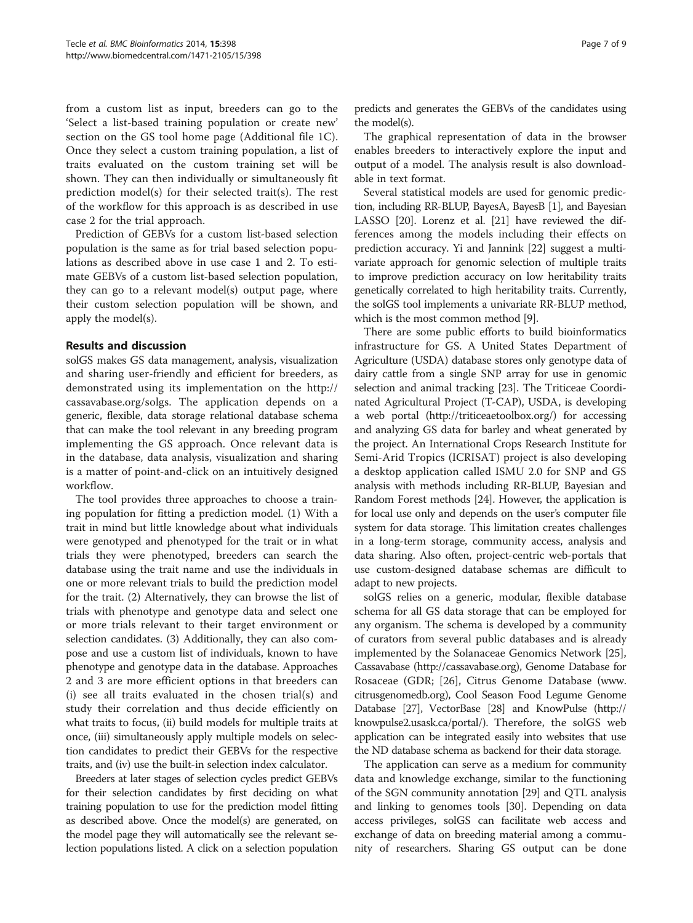from a custom list as input, breeders can go to the 'Select a list-based training population or create new' section on the GS tool home page (Additional file [1](#page-7-0)C). Once they select a custom training population, a list of traits evaluated on the custom training set will be shown. They can then individually or simultaneously fit prediction model(s) for their selected trait(s). The rest of the workflow for this approach is as described in use case 2 for the trial approach.

Prediction of GEBVs for a custom list-based selection population is the same as for trial based selection populations as described above in use case 1 and 2. To estimate GEBVs of a custom list-based selection population, they can go to a relevant model(s) output page, where their custom selection population will be shown, and apply the model(s).

#### Results and discussion

solGS makes GS data management, analysis, visualization and sharing user-friendly and efficient for breeders, as demonstrated using its implementation on the [http://](http://cassavabase.org/solgs) [cassavabase.org/solgs](http://cassavabase.org/solgs). The application depends on a generic, flexible, data storage relational database schema that can make the tool relevant in any breeding program implementing the GS approach. Once relevant data is in the database, data analysis, visualization and sharing is a matter of point-and-click on an intuitively designed workflow.

The tool provides three approaches to choose a training population for fitting a prediction model. (1) With a trait in mind but little knowledge about what individuals were genotyped and phenotyped for the trait or in what trials they were phenotyped, breeders can search the database using the trait name and use the individuals in one or more relevant trials to build the prediction model for the trait. (2) Alternatively, they can browse the list of trials with phenotype and genotype data and select one or more trials relevant to their target environment or selection candidates. (3) Additionally, they can also compose and use a custom list of individuals, known to have phenotype and genotype data in the database. Approaches 2 and 3 are more efficient options in that breeders can (i) see all traits evaluated in the chosen trial(s) and study their correlation and thus decide efficiently on what traits to focus, (ii) build models for multiple traits at once, (iii) simultaneously apply multiple models on selection candidates to predict their GEBVs for the respective traits, and (iv) use the built-in selection index calculator.

Breeders at later stages of selection cycles predict GEBVs for their selection candidates by first deciding on what training population to use for the prediction model fitting as described above. Once the model(s) are generated, on the model page they will automatically see the relevant selection populations listed. A click on a selection population predicts and generates the GEBVs of the candidates using the model(s).

The graphical representation of data in the browser enables breeders to interactively explore the input and output of a model. The analysis result is also downloadable in text format.

Several statistical models are used for genomic prediction, including RR-BLUP, BayesA, BayesB [\[1](#page-7-0)], and Bayesian LASSO [\[20\]](#page-8-0). Lorenz et al. [\[21](#page-8-0)] have reviewed the differences among the models including their effects on prediction accuracy. Yi and Jannink [[22](#page-8-0)] suggest a multivariate approach for genomic selection of multiple traits to improve prediction accuracy on low heritability traits genetically correlated to high heritability traits. Currently, the solGS tool implements a univariate RR-BLUP method, which is the most common method [\[9\]](#page-7-0).

There are some public efforts to build bioinformatics infrastructure for GS. A United States Department of Agriculture (USDA) database stores only genotype data of dairy cattle from a single SNP array for use in genomic selection and animal tracking [\[23\]](#page-8-0). The Triticeae Coordinated Agricultural Project (T-CAP), USDA, is developing a web portal [\(http://triticeaetoolbox.org/\)](http://triticeaetoolbox.org/) for accessing and analyzing GS data for barley and wheat generated by the project. An International Crops Research Institute for Semi-Arid Tropics (ICRISAT) project is also developing a desktop application called ISMU 2.0 for SNP and GS analysis with methods including RR-BLUP, Bayesian and Random Forest methods [[24](#page-8-0)]. However, the application is for local use only and depends on the user's computer file system for data storage. This limitation creates challenges in a long-term storage, community access, analysis and data sharing. Also often, project-centric web-portals that use custom-designed database schemas are difficult to adapt to new projects.

solGS relies on a generic, modular, flexible database schema for all GS data storage that can be employed for any organism. The schema is developed by a community of curators from several public databases and is already implemented by the Solanaceae Genomics Network [\[25](#page-8-0)], Cassavabase ([http://cassavabase.org\)](http://cassavabase.org), Genome Database for Rosaceae (GDR; [[26](#page-8-0)], Citrus Genome Database [\(www.](http://www.citrusgenomedb.org) [citrusgenomedb.org](http://www.citrusgenomedb.org)), Cool Season Food Legume Genome Database [\[27](#page-8-0)], VectorBase [\[28](#page-8-0)] and KnowPulse ([http://](http://knowpulse2.usask.ca/portal/) [knowpulse2.usask.ca/portal/\)](http://knowpulse2.usask.ca/portal/). Therefore, the solGS web application can be integrated easily into websites that use the ND database schema as backend for their data storage.

The application can serve as a medium for community data and knowledge exchange, similar to the functioning of the SGN community annotation [[29](#page-8-0)] and QTL analysis and linking to genomes tools [[30](#page-8-0)]. Depending on data access privileges, solGS can facilitate web access and exchange of data on breeding material among a community of researchers. Sharing GS output can be done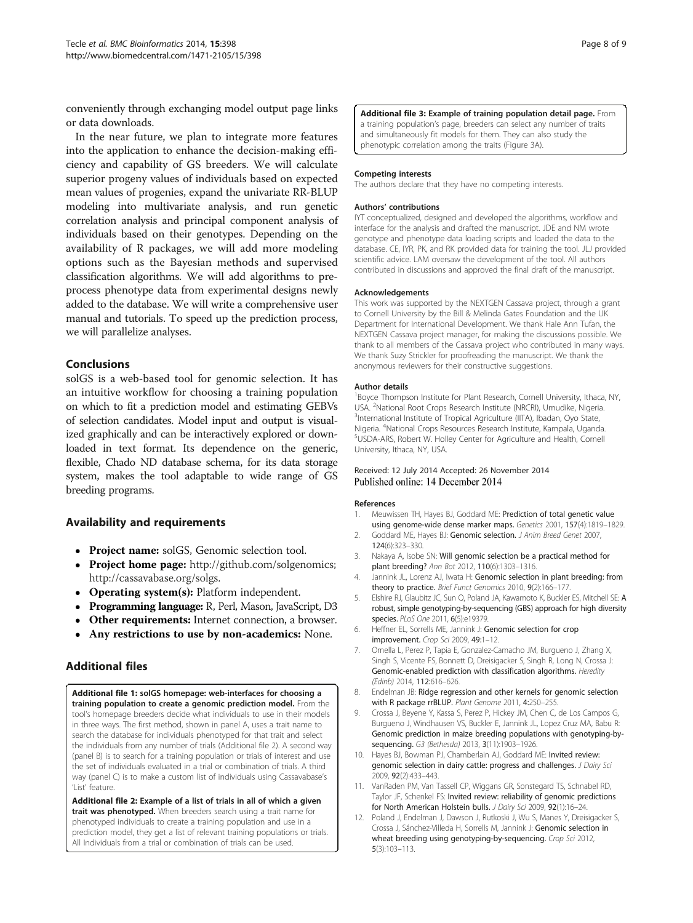<span id="page-7-0"></span>conveniently through exchanging model output page links or data downloads.

In the near future, we plan to integrate more features into the application to enhance the decision-making efficiency and capability of GS breeders. We will calculate superior progeny values of individuals based on expected mean values of progenies, expand the univariate RR-BLUP modeling into multivariate analysis, and run genetic correlation analysis and principal component analysis of individuals based on their genotypes. Depending on the availability of R packages, we will add more modeling options such as the Bayesian methods and supervised classification algorithms. We will add algorithms to preprocess phenotype data from experimental designs newly added to the database. We will write a comprehensive user manual and tutorials. To speed up the prediction process, we will parallelize analyses.

# Conclusions

solGS is a web-based tool for genomic selection. It has an intuitive workflow for choosing a training population on which to fit a prediction model and estimating GEBVs of selection candidates. Model input and output is visualized graphically and can be interactively explored or downloaded in text format. Its dependence on the generic, flexible, Chado ND database schema, for its data storage system, makes the tool adaptable to wide range of GS breeding programs.

#### Availability and requirements

- Project name: solGS, Genomic selection tool.
- Project home page: [http://github.com/solgenomics;](http://github.com/solgenomics) [http://cassavabase.org/solgs.](http://cassavabase.org/solgs)
- Operating system(s): Platform independent.
- Programming language: R, Perl, Mason, JavaScript, D3
- -Other requirements: Internet connection, a browser.
- Any restrictions to use by non-academics: None.

# Additional files

[Additional file 1:](http://www.biomedcentral.com/content/supplementary/s12859-014-0398-7-s1.png) solGS homepage: web-interfaces for choosing a training population to create a genomic prediction model. From the tool's homepage breeders decide what individuals to use in their models in three ways. The first method, shown in panel A, uses a trait name to search the database for individuals phenotyped for that trait and select the individuals from any number of trials (Additional file 2). A second way (panel B) is to search for a training population or trials of interest and use the set of individuals evaluated in a trial or combination of trials. A third way (panel C) is to make a custom list of individuals using Cassavabase's 'List' feature.

[Additional file 2:](http://www.biomedcentral.com/content/supplementary/s12859-014-0398-7-s2.png) Example of a list of trials in all of which a given trait was phenotyped. When breeders search using a trait name for phenotyped individuals to create a training population and use in a prediction model, they get a list of relevant training populations or trials. All Individuals from a trial or combination of trials can be used.

[Additional file 3:](http://www.biomedcentral.com/content/supplementary/s12859-014-0398-7-s3.png) Example of training population detail page. From a training population's page, breeders can select any number of traits and simultaneously fit models for them. They can also study the phenotypic correlation among the traits (Figure [3A](#page-4-0)).

#### Competing interests

The authors declare that they have no competing interests.

#### Authors' contributions

IYT conceptualized, designed and developed the algorithms, workflow and interface for the analysis and drafted the manuscript. JDE and NM wrote genotype and phenotype data loading scripts and loaded the data to the database. CE, IYR, PK, and RK provided data for training the tool. JLJ provided scientific advice. LAM oversaw the development of the tool. All authors contributed in discussions and approved the final draft of the manuscript.

#### Acknowledgements

This work was supported by the NEXTGEN Cassava project, through a grant to Cornell University by the Bill & Melinda Gates Foundation and the UK Department for International Development. We thank Hale Ann Tufan, the NEXTGEN Cassava project manager, for making the discussions possible. We thank to all members of the Cassava project who contributed in many ways. We thank Suzy Strickler for proofreading the manuscript. We thank the anonymous reviewers for their constructive suggestions.

#### Author details

<sup>1</sup> Boyce Thompson Institute for Plant Research, Cornell University, Ithaca, NY USA. <sup>2</sup>National Root Crops Research Institute (NRCRI), Umudike, Nigeria.<br><sup>3</sup>International Institute of Tropical Agriculture (IITA), Ibadan Ovo State. <sup>3</sup>International Institute of Tropical Agriculture (IITA), Ibadan, Oyo State, Nigeria. <sup>4</sup>National Crops Resources Research Institute, Kampala, Uganda.<br><sup>5</sup>USDA-ARS, Robert W. Holley Center for Agriculture and Health Cornell <sup>5</sup>USDA-ARS, Robert W. Holley Center for Agriculture and Health, Cornell University, Ithaca, NY, USA.

#### Received: 12 July 2014 Accepted: 26 November 2014 Published online: 14 December 2014

#### References

- 1. Meuwissen TH, Hayes BJ, Goddard ME: Prediction of total genetic value using genome-wide dense marker maps. Genetics 2001, 157(4):1819–1829.
- 2. Goddard ME, Hayes BJ: Genomic selection. J Anim Breed Genet 2007, 124(6):323–330.
- 3. Nakaya A, Isobe SN: Will genomic selection be a practical method for plant breeding? Ann Bot 2012, 110(6):1303–1316.
- 4. Jannink JL, Lorenz AJ, Iwata H: Genomic selection in plant breeding: from theory to practice. Brief Funct Genomics 2010, 9(2):166-177.
- 5. Elshire RJ, Glaubitz JC, Sun Q, Poland JA, Kawamoto K, Buckler ES, Mitchell SE: A robust, simple genotyping-by-sequencing (GBS) approach for high diversity species. PLoS One 2011, 6(5):e19379.
- 6. Heffner EL, Sorrells ME, Jannink J: Genomic selection for crop improvement. Crop Sci 2009, 49:1–12.
- 7. Ornella L, Perez P, Tapia E, Gonzalez-Camacho JM, Burgueno J, Zhang X, Singh S, Vicente FS, Bonnett D, Dreisigacker S, Singh R, Long N, Crossa J: Genomic-enabled prediction with classification algorithms. Heredity (Edinb) 2014, 112:616–626.
- 8. Endelman JB: Ridge regression and other kernels for genomic selection with R package rrBLUP. Plant Genome 2011, 4:250–255.
- 9. Crossa J, Beyene Y, Kassa S, Perez P, Hickey JM, Chen C, de Los Campos G, Burgueno J, Windhausen VS, Buckler E, Jannink JL, Lopez Cruz MA, Babu R: Genomic prediction in maize breeding populations with genotyping-bysequencing. G3 (Bethesda) 2013, 3(11):1903–1926.
- 10. Hayes BJ, Bowman PJ, Chamberlain AJ, Goddard ME: Invited review: genomic selection in dairy cattle: progress and challenges. J Dairy Sci 2009, 92(2):433–443.
- 11. VanRaden PM, Van Tassell CP, Wiggans GR, Sonstegard TS, Schnabel RD, Taylor JF, Schenkel FS: Invited review: reliability of genomic predictions for North American Holstein bulls. J Dairy Sci 2009, 92(1):16–24.
- 12. Poland J, Endelman J, Dawson J, Rutkoski J, Wu S, Manes Y, Dreisigacker S, Crossa J, Sánchez-Villeda H, Sorrells M, Jannink J: Genomic selection in wheat breeding using genotyping-by-sequencing. Crop Sci 2012, 5(3):103–113.